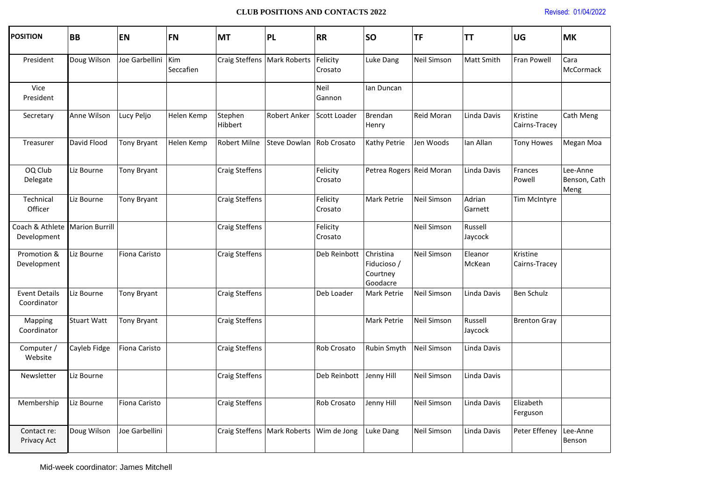## **CLUB POSITIONS AND CONTACTS 2022** Revised: 01/04/2022

| <b>POSITION</b>                     | <b>BB</b>             | <b>EN</b>      | <b>FN</b>        | <b>MT</b>             | PL                            | <b>RR</b>           | <b>SO</b>                                        | <b>TF</b>          | ΤT                 | <b>UG</b>                 | <b>MK</b>                        |
|-------------------------------------|-----------------------|----------------|------------------|-----------------------|-------------------------------|---------------------|--------------------------------------------------|--------------------|--------------------|---------------------------|----------------------------------|
| President                           | Doug Wilson           | Joe Garbellini | Kim<br>Seccafien |                       | Craig Steffens   Mark Roberts | Felicity<br>Crosato | Luke Dang                                        | Neil Simson        | <b>Matt Smith</b>  | Fran Powell               | Cara<br>McCormack                |
| Vice<br>President                   |                       |                |                  |                       |                               | Neil<br>Gannon      | lan Duncan                                       |                    |                    |                           |                                  |
| Secretary                           | Anne Wilson           | Lucy Peljo     | Helen Kemp       | Stephen<br>Hibbert    | Robert Anker                  | Scott Loader        | Brendan<br>Henry                                 | Reid Moran         | Linda Davis        | Kristine<br>Cairns-Tracey | Cath Meng                        |
| Treasurer                           | David Flood           | Tony Bryant    | Helen Kemp       | Robert Milne          | Steve Dowlan Rob Crosato      |                     | Kathy Petrie                                     | Jen Woods          | Ian Allan          | <b>Tony Howes</b>         | Megan Moa                        |
| OQ Club<br>Delegate                 | Liz Bourne            | Tony Bryant    |                  | <b>Craig Steffens</b> |                               | Felicity<br>Crosato | Petrea Rogers Reid Moran                         |                    | Linda Davis        | Frances<br>Powell         | Lee-Anne<br>Benson, Cath<br>Meng |
| Technical<br>Officer                | Liz Bourne            | Tony Bryant    |                  | <b>Craig Steffens</b> |                               | Felicity<br>Crosato | Mark Petrie                                      | <b>Neil Simson</b> | Adrian<br>Garnett  | Tim McIntyre              |                                  |
| Coach & Athlete<br>Development      | <b>Marion Burrill</b> |                |                  | Craig Steffens        |                               | Felicity<br>Crosato |                                                  | Neil Simson        | Russell<br>Jaycock |                           |                                  |
| Promotion &<br>Development          | Liz Bourne            | Fiona Caristo  |                  | Craig Steffens        |                               | Deb Reinbott        | Christina<br>Fiducioso /<br>Courtney<br>Goodacre | Neil Simson        | Eleanor<br>McKean  | Kristine<br>Cairns-Tracey |                                  |
| <b>Event Details</b><br>Coordinator | Liz Bourne            | Tony Bryant    |                  | Craig Steffens        |                               | Deb Loader          | Mark Petrie                                      | Neil Simson        | Linda Davis        | <b>Ben Schulz</b>         |                                  |
| Mapping<br>Coordinator              | <b>Stuart Watt</b>    | Tony Bryant    |                  | Craig Steffens        |                               |                     | Mark Petrie                                      | Neil Simson        | Russell<br>Jaycock | <b>Brenton Gray</b>       |                                  |
| Computer /<br>Website               | Cayleb Fidge          | Fiona Caristo  |                  | <b>Craig Steffens</b> |                               | Rob Crosato         | Rubin Smyth                                      | <b>Neil Simson</b> | Linda Davis        |                           |                                  |
| Newsletter                          | Liz Bourne            |                |                  | Craig Steffens        |                               | Deb Reinbott        | Jenny Hill                                       | <b>Neil Simson</b> | Linda Davis        |                           |                                  |
| Membership                          | Liz Bourne            | Fiona Caristo  |                  | <b>Craig Steffens</b> |                               | Rob Crosato         | Jenny Hill                                       | Neil Simson        | Linda Davis        | Elizabeth<br>Ferguson     |                                  |
| Contact re:<br>Privacy Act          | Doug Wilson           | Joe Garbellini |                  |                       | Craig Steffens   Mark Roberts | Wim de Jong         | Luke Dang                                        | Neil Simson        | Linda Davis        | Peter Effeney             | Lee-Anne<br>Benson               |